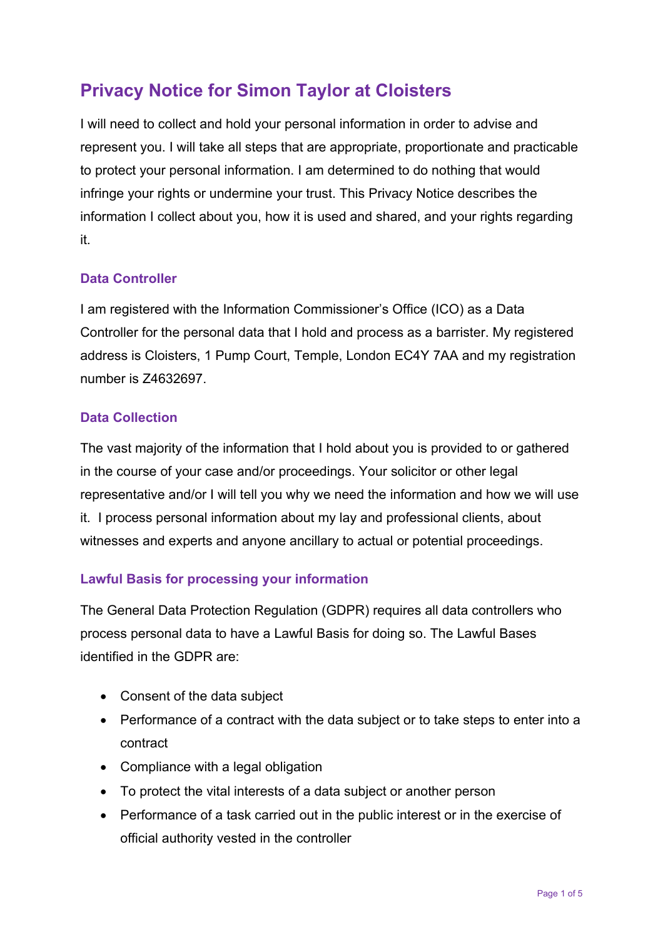# **Privacy Notice for Simon Taylor at Cloisters**

I will need to collect and hold your personal information in order to advise and represent you. I will take all steps that are appropriate, proportionate and practicable to protect your personal information. I am determined to do nothing that would infringe your rights or undermine your trust. This Privacy Notice describes the information I collect about you, how it is used and shared, and your rights regarding it.

# **Data Controller**

I am registered with the Information Commissioner's Office (ICO) as a Data Controller for the personal data that I hold and process as a barrister. My registered address is Cloisters, 1 Pump Court, Temple, London EC4Y 7AA and my registration number is Z4632697.

#### **Data Collection**

The vast majority of the information that I hold about you is provided to or gathered in the course of your case and/or proceedings. Your solicitor or other legal representative and/or I will tell you why we need the information and how we will use it. I process personal information about my lay and professional clients, about witnesses and experts and anyone ancillary to actual or potential proceedings.

# **Lawful Basis for processing your information**

The General Data Protection Regulation (GDPR) requires all data controllers who process personal data to have a Lawful Basis for doing so. The Lawful Bases identified in the GDPR are:

- Consent of the data subject
- Performance of a contract with the data subject or to take steps to enter into a contract
- Compliance with a legal obligation
- To protect the vital interests of a data subject or another person
- Performance of a task carried out in the public interest or in the exercise of official authority vested in the controller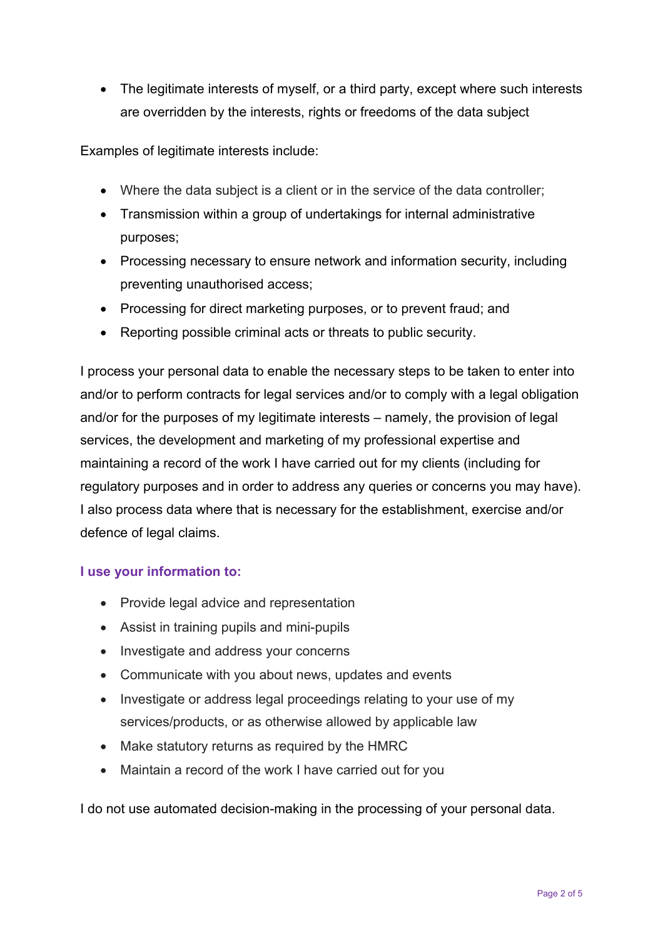• The legitimate interests of myself, or a third party, except where such interests are overridden by the interests, rights or freedoms of the data subject

Examples of legitimate interests include:

- Where the data subject is a client or in the service of the data controller;
- Transmission within a group of undertakings for internal administrative purposes;
- Processing necessary to ensure network and information security, including preventing unauthorised access;
- Processing for direct marketing purposes, or to prevent fraud; and
- Reporting possible criminal acts or threats to public security.

I process your personal data to enable the necessary steps to be taken to enter into and/or to perform contracts for legal services and/or to comply with a legal obligation and/or for the purposes of my legitimate interests – namely, the provision of legal services, the development and marketing of my professional expertise and maintaining a record of the work I have carried out for my clients (including for regulatory purposes and in order to address any queries or concerns you may have). I also process data where that is necessary for the establishment, exercise and/or defence of legal claims.

#### **I use your information to:**

- Provide legal advice and representation
- Assist in training pupils and mini-pupils
- Investigate and address your concerns
- Communicate with you about news, updates and events
- Investigate or address legal proceedings relating to your use of my services/products, or as otherwise allowed by applicable law
- Make statutory returns as required by the HMRC
- Maintain a record of the work I have carried out for you

I do not use automated decision-making in the processing of your personal data.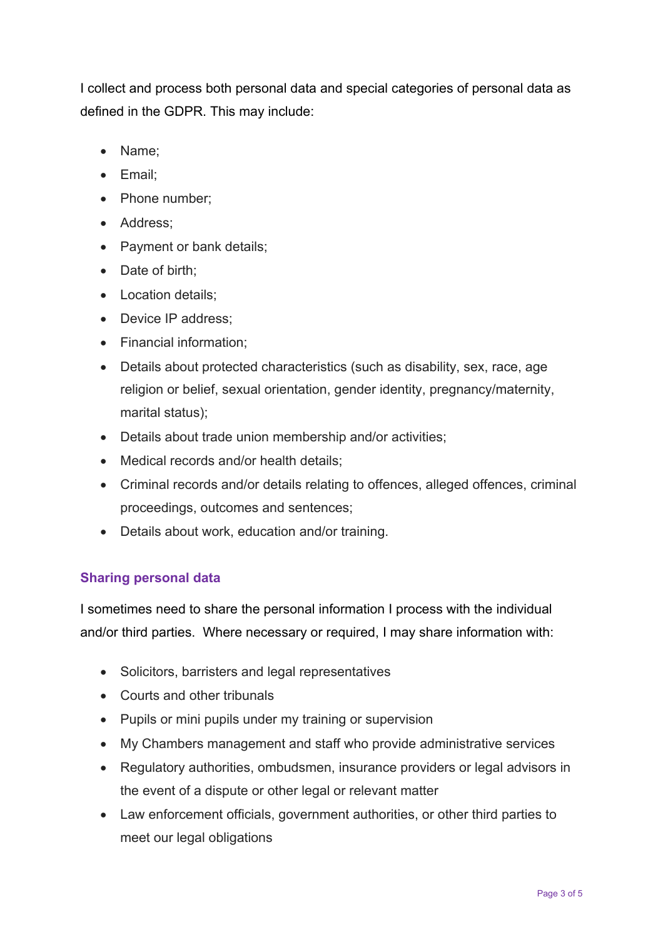I collect and process both personal data and special categories of personal data as defined in the GDPR. This may include:

- Name:
- Email:
- Phone number;
- Address:
- Payment or bank details;
- Date of birth:
- Location details;
- Device IP address;
- Financial information:
- Details about protected characteristics (such as disability, sex, race, age religion or belief, sexual orientation, gender identity, pregnancy/maternity, marital status);
- Details about trade union membership and/or activities;
- Medical records and/or health details;
- Criminal records and/or details relating to offences, alleged offences, criminal proceedings, outcomes and sentences;
- Details about work, education and/or training.

# **Sharing personal data**

I sometimes need to share the personal information I process with the individual and/or third parties. Where necessary or required, I may share information with:

- Solicitors, barristers and legal representatives
- Courts and other tribunals
- Pupils or mini pupils under my training or supervision
- My Chambers management and staff who provide administrative services
- Regulatory authorities, ombudsmen, insurance providers or legal advisors in the event of a dispute or other legal or relevant matter
- Law enforcement officials, government authorities, or other third parties to meet our legal obligations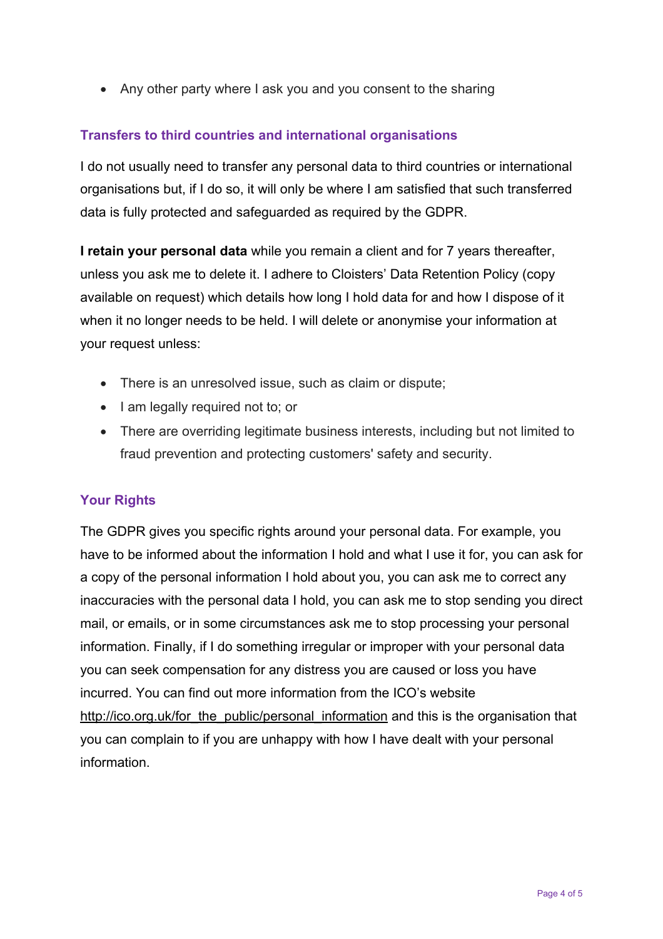• Any other party where I ask you and you consent to the sharing

# **Transfers to third countries and international organisations**

I do not usually need to transfer any personal data to third countries or international organisations but, if I do so, it will only be where I am satisfied that such transferred data is fully protected and safeguarded as required by the GDPR.

**I retain your personal data** while you remain a client and for 7 years thereafter, unless you ask me to delete it. I adhere to Cloisters' Data Retention Policy (copy available on request) which details how long I hold data for and how I dispose of it when it no longer needs to be held. I will delete or anonymise your information at your request unless:

- There is an unresolved issue, such as claim or dispute;
- I am legally required not to; or
- There are overriding legitimate business interests, including but not limited to fraud prevention and protecting customers' safety and security.

# **Your Rights**

The GDPR gives you specific rights around your personal data. For example, you have to be informed about the information I hold and what I use it for, you can ask for a copy of the personal information I hold about you, you can ask me to correct any inaccuracies with the personal data I hold, you can ask me to stop sending you direct mail, or emails, or in some circumstances ask me to stop processing your personal information. Finally, if I do something irregular or improper with your personal data you can seek compensation for any distress you are caused or loss you have incurred. You can find out more information from the ICO's website http://ico.org.uk/for\_the\_public/personal\_information and this is the organisation that you can complain to if you are unhappy with how I have dealt with your personal information.